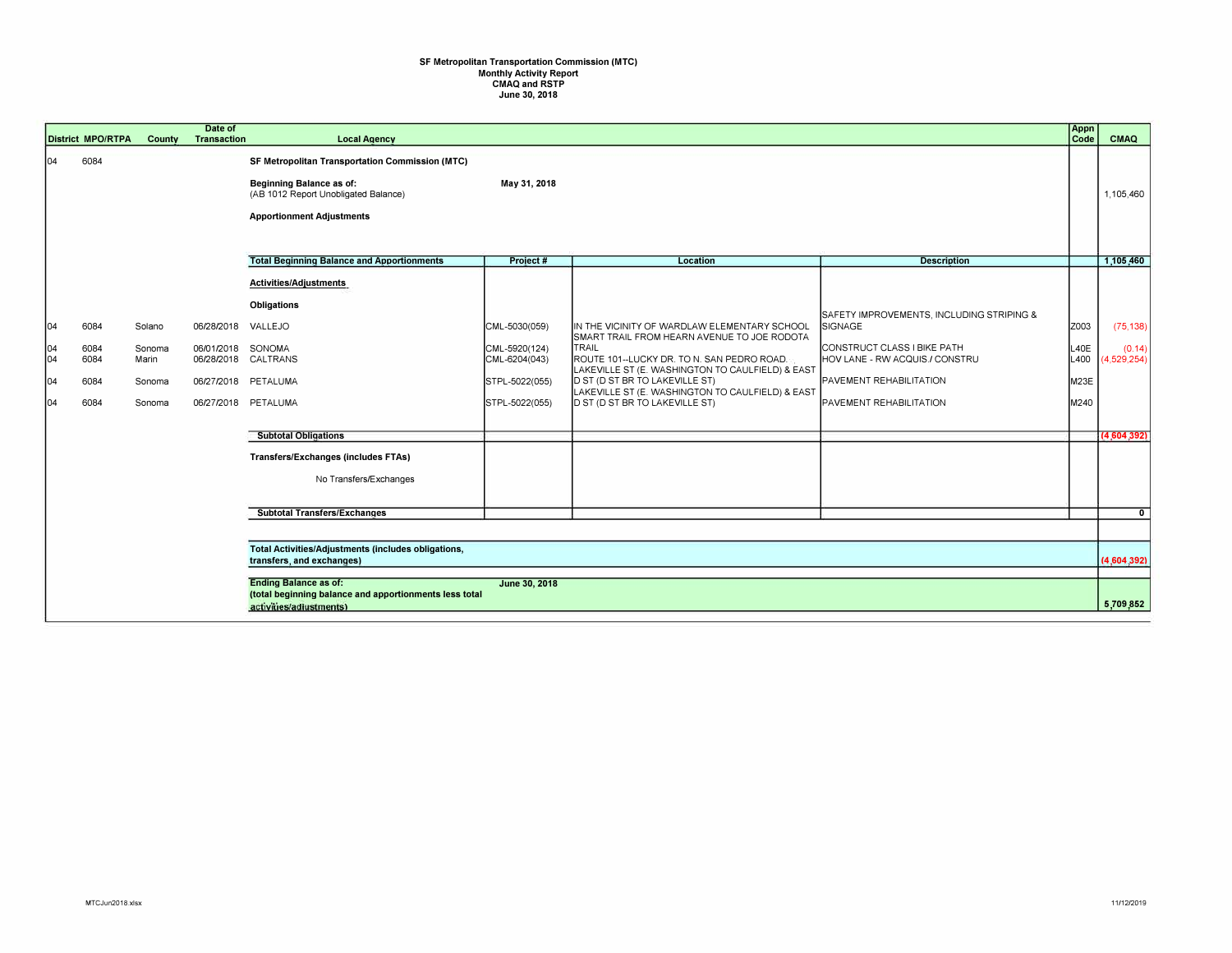## **SF Metropolitan Transportation Commission (MTC) Monthly Activity Report CMAQ and RSTP June 30, 2018**

|            | <b>District MPO/RTPA</b> | County                                                                                                                             | Date of<br><b>Transaction</b> | <b>Local Agency</b>                                                                                                                                                   |                                |                                                                                                                                                               |                                                               | Appn<br>Code | <b>CMAQ</b>           |
|------------|--------------------------|------------------------------------------------------------------------------------------------------------------------------------|-------------------------------|-----------------------------------------------------------------------------------------------------------------------------------------------------------------------|--------------------------------|---------------------------------------------------------------------------------------------------------------------------------------------------------------|---------------------------------------------------------------|--------------|-----------------------|
| 104        | 6084                     |                                                                                                                                    |                               | <b>SF Metropolitan Transportation Commission (MTC)</b><br><b>Beginning Balance as of:</b><br>(AB 1012 Report Unobligated Balance)<br><b>Apportionment Adjustments</b> | May 31, 2018                   |                                                                                                                                                               |                                                               |              | 1,105,460             |
|            |                          |                                                                                                                                    |                               | <b>Total Beginning Balance and Apportionments</b>                                                                                                                     | Project#                       | <b>Location</b>                                                                                                                                               | <b>Description</b>                                            |              | 1,105,460             |
|            |                          |                                                                                                                                    |                               | Activities/Adjustments                                                                                                                                                |                                |                                                                                                                                                               |                                                               |              |                       |
| 04         | 6084                     | Solano                                                                                                                             | 06/28/2018 VALLEJO            | <b>Obligations</b>                                                                                                                                                    | CML-5030(059)                  | IN THE VICINITY OF WARDLAW ELEMENTARY SCHOOL                                                                                                                  | SAFETY IMPROVEMENTS, INCLUDING STRIPING &<br><b>SIGNAGE</b>   | Z003         | (75, 138)             |
| 104<br> 04 | 6084<br>6084             | Sonoma<br>Marin                                                                                                                    | 06/01/2018 SONOMA             | 06/28/2018 CALTRANS                                                                                                                                                   | CML-5920(124)<br>CML-6204(043) | SMART TRAIL FROM HEARN AVENUE TO JOE RODOTA<br><b>TRAIL</b><br>ROUTE 101--LUCKY DR. TO N. SAN PEDRO ROAD.<br>LAKEVILLE ST (E. WASHINGTON TO CAULFIELD) & EAST | CONSTRUCT CLASS I BIKE PATH<br>HOV LANE - RW ACQUIS./ CONSTRU | L40E<br>L400 | (0.14)<br>(4,529,254) |
| 04         | 6084                     | Sonoma                                                                                                                             |                               | 06/27/2018 PETALUMA                                                                                                                                                   | STPL-5022(055)                 | D ST (D ST BR TO LAKEVILLE ST)<br>LAKEVILLE ST (E. WASHINGTON TO CAULFIELD) & EAST                                                                            | PAVEMENT REHABILITATION                                       | M23E         |                       |
| 104        | 6084                     | Sonoma                                                                                                                             |                               | 06/27/2018 PETALUMA                                                                                                                                                   | STPL-5022(055)                 | <b>D ST (D ST BR TO LAKEVILLE ST)</b>                                                                                                                         | PAVEMENT REHABILITATION                                       | M240         |                       |
|            |                          |                                                                                                                                    |                               | <b>Subtotal Obligations</b>                                                                                                                                           |                                |                                                                                                                                                               |                                                               |              | (4.604.392)           |
|            |                          |                                                                                                                                    |                               | <b>Transfers/Exchanges (includes FTAs)</b>                                                                                                                            |                                |                                                                                                                                                               |                                                               |              |                       |
|            |                          |                                                                                                                                    |                               | No Transfers/Exchanges                                                                                                                                                |                                |                                                                                                                                                               |                                                               |              |                       |
|            |                          |                                                                                                                                    |                               | <b>Subtotal Transfers/Exchanges</b>                                                                                                                                   |                                |                                                                                                                                                               |                                                               |              | $\overline{0}$        |
|            |                          |                                                                                                                                    |                               |                                                                                                                                                                       |                                |                                                                                                                                                               |                                                               |              |                       |
|            |                          | Total Activities/Adjustments (includes obligations,<br>transfers, and exchanges)                                                   |                               |                                                                                                                                                                       |                                |                                                                                                                                                               |                                                               |              | (4.604.392)           |
|            |                          | <b>Ending Balance as of:</b><br>June 30, 2018<br>(total beginning balance and apportionments less total<br>activities/adiustments) |                               |                                                                                                                                                                       |                                |                                                                                                                                                               |                                                               |              |                       |